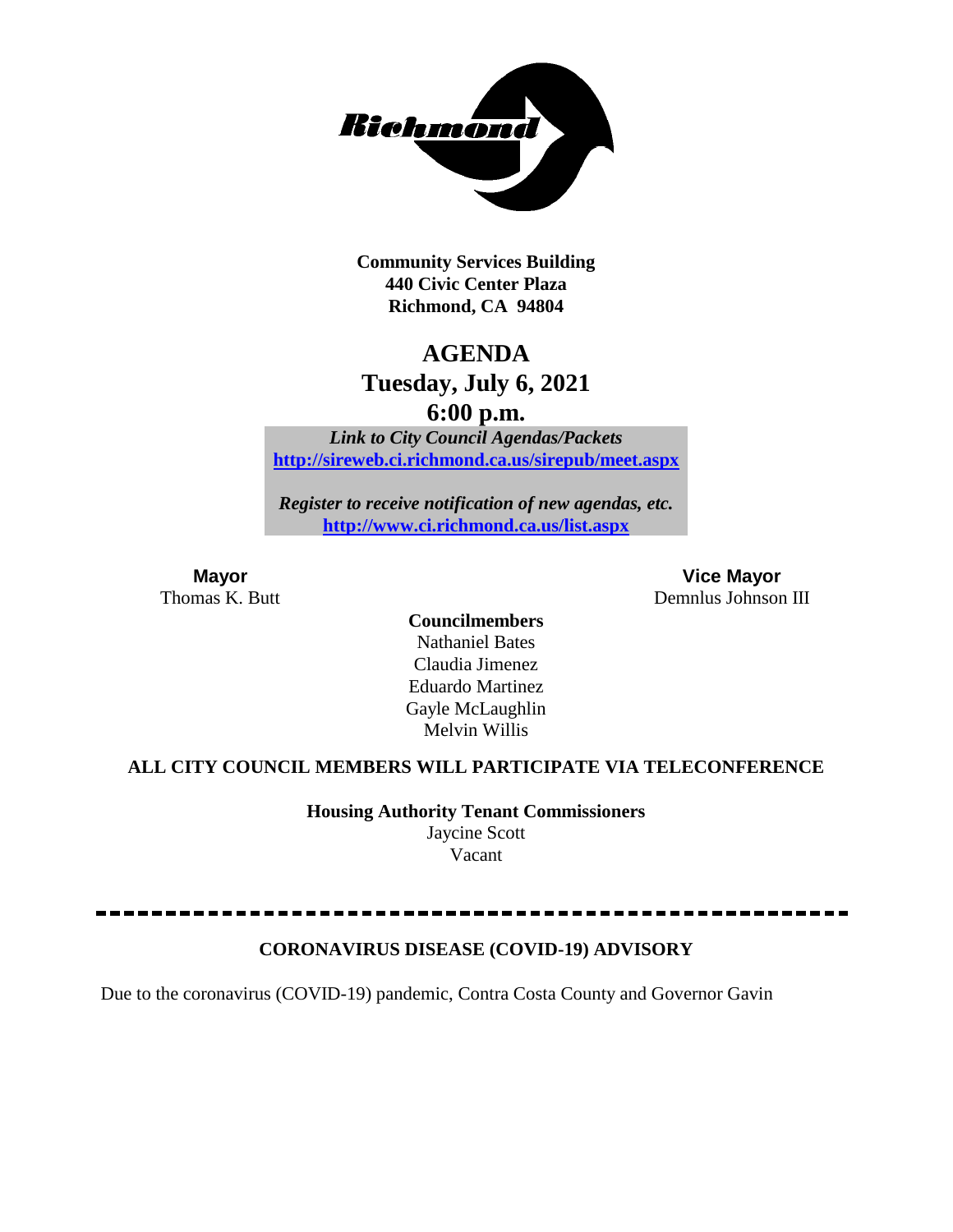

**Community Services Building 440 Civic Center Plaza Richmond, CA 94804**

## **AGENDA**

## **Tuesday, July 6, 2021**

**6:00 p.m.**

*Link to City Council Agendas/Packets* **<http://sireweb.ci.richmond.ca.us/sirepub/meet.aspx>**

*Register to receive notification of new agendas, etc.* **<http://www.ci.richmond.ca.us/list.aspx>**

**Mayor Vice Mayor** Thomas K. Butt Demnlus Johnson III

> **Councilmembers** Nathaniel Bates Claudia Jimenez Eduardo Martinez Gayle McLaughlin Melvin Willis

## **ALL CITY COUNCIL MEMBERS WILL PARTICIPATE VIA TELECONFERENCE**

**Housing Authority Tenant Commissioners** Jaycine Scott Vacant

## **CORONAVIRUS DISEASE (COVID-19) ADVISORY**

Due to the coronavirus (COVID-19) pandemic, Contra Costa County and Governor Gavin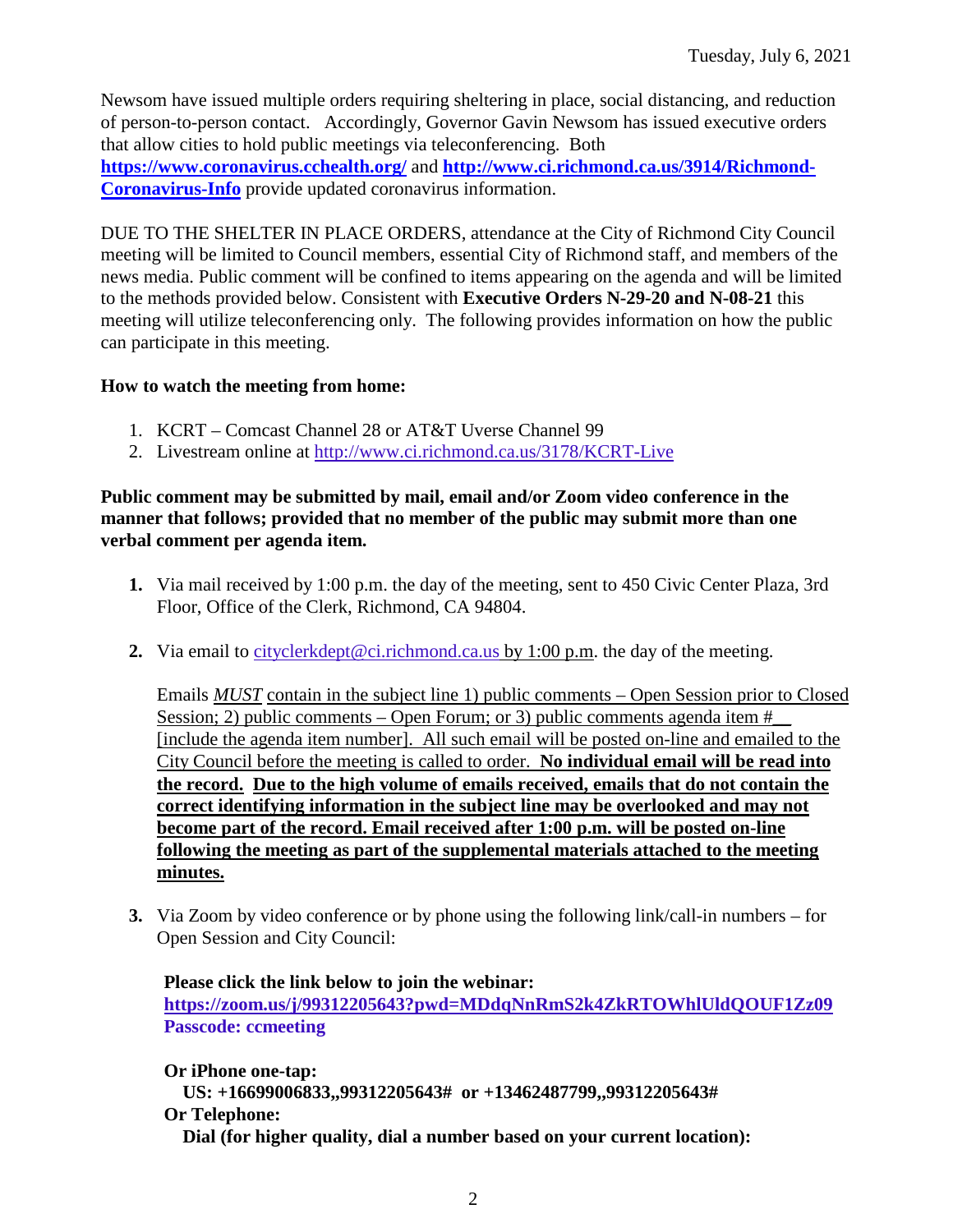Newsom have issued multiple orders requiring sheltering in place, social distancing, and reduction of person-to-person contact. Accordingly, Governor Gavin Newsom has issued executive orders that allow cities to hold public meetings via teleconferencing. Both **<https://www.coronavirus.cchealth.org/>** and **[http://www.ci.richmond.ca.us/3914/Richmond-](http://www.ci.richmond.ca.us/3914/Richmond-Coronavirus-Info)[Coronavirus-Info](http://www.ci.richmond.ca.us/3914/Richmond-Coronavirus-Info)** provide updated coronavirus information.

DUE TO THE SHELTER IN PLACE ORDERS, attendance at the City of Richmond City Council meeting will be limited to Council members, essential City of Richmond staff, and members of the news media. Public comment will be confined to items appearing on the agenda and will be limited to the methods provided below. Consistent with **Executive Orders N-29-20 and N-08-21** this meeting will utilize teleconferencing only. The following provides information on how the public can participate in this meeting.

## **How to watch the meeting from home:**

- 1. KCRT Comcast Channel 28 or AT&T Uverse Channel 99
- 2. Livestream online at<http://www.ci.richmond.ca.us/3178/KCRT-Live>

## **Public comment may be submitted by mail, email and/or Zoom video conference in the manner that follows; provided that no member of the public may submit more than one verbal comment per agenda item.**

- **1.** Via mail received by 1:00 p.m. the day of the meeting, sent to 450 Civic Center Plaza, 3rd Floor, Office of the Clerk, Richmond, CA 94804.
- **2.** Via email to [cityclerkdept@ci.richmond.ca.us](mailto:cityclerkdept@ci.richmond.ca.us) by 1:00 p.m. the day of the meeting.

Emails *MUST* contain in the subject line 1) public comments – Open Session prior to Closed Session; 2) public comments – Open Forum; or 3) public comments agenda item  $#$ [include the agenda item number]. All such email will be posted on-line and emailed to the City Council before the meeting is called to order. **No individual email will be read into the record. Due to the high volume of emails received, emails that do not contain the correct identifying information in the subject line may be overlooked and may not become part of the record. Email received after 1:00 p.m. will be posted on-line following the meeting as part of the supplemental materials attached to the meeting minutes.**

**3.** Via Zoom by video conference or by phone using the following link/call-in numbers – for Open Session and City Council:

**Please click the link below to join the webinar: <https://zoom.us/j/99312205643?pwd=MDdqNnRmS2k4ZkRTOWhlUldQOUF1Zz09> Passcode: ccmeeting**

**Or iPhone one-tap: US: +16699006833,,99312205643# or +13462487799,,99312205643# Or Telephone: Dial (for higher quality, dial a number based on your current location):**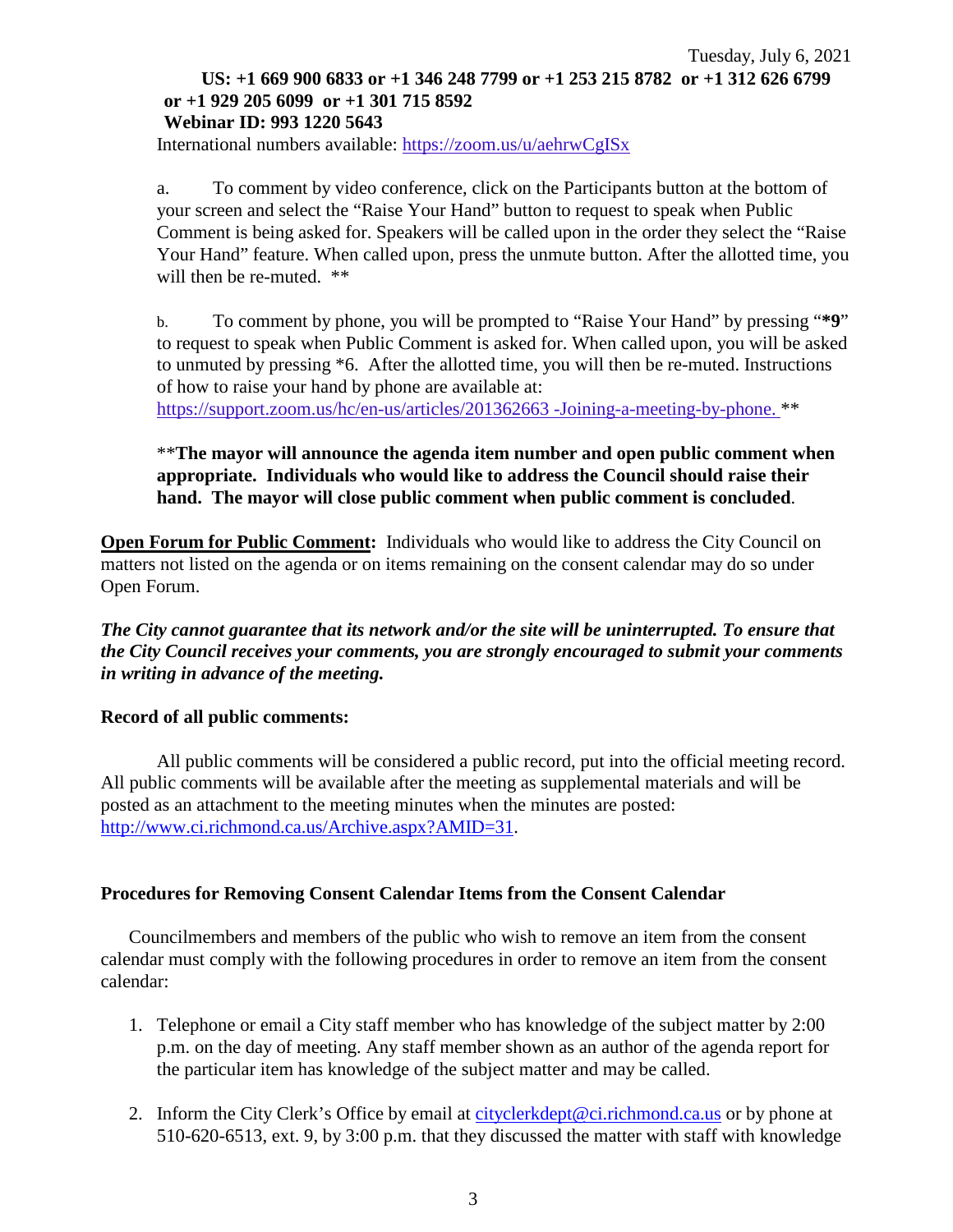#### Tuesday, July 6, 2021 **US: +1 669 900 6833 or +1 346 248 7799 or +1 253 215 8782 or +1 312 626 6799 or +1 929 205 6099 or +1 301 715 8592 Webinar ID: 993 1220 5643**

International numbers available: <https://zoom.us/u/aehrwCgISx>

a. To comment by video conference, click on the Participants button at the bottom of your screen and select the "Raise Your Hand" button to request to speak when Public Comment is being asked for. Speakers will be called upon in the order they select the "Raise Your Hand" feature. When called upon, press the unmute button. After the allotted time, you will then be re-muted.  $**$ 

b. To comment by phone, you will be prompted to "Raise Your Hand" by pressing "**\*9**" to request to speak when Public Comment is asked for. When called upon, you will be asked to unmuted by pressing \*6. After the allotted time, you will then be re-muted. Instructions of how to raise your hand by phone are available at:

[https://support.zoom.us/hc/en-us/articles/201362663 -Joining-a-meeting-by-phone.](https://support.zoom.us/hc/en-us/articles/201362663) \*\*

## \*\***The mayor will announce the agenda item number and open public comment when appropriate. Individuals who would like to address the Council should raise their hand. The mayor will close public comment when public comment is concluded**.

**Open Forum for Public Comment:** Individuals who would like to address the City Council on matters not listed on the agenda or on items remaining on the consent calendar may do so under Open Forum.

*The City cannot guarantee that its network and/or the site will be uninterrupted. To ensure that the City Council receives your comments, you are strongly encouraged to submit your comments in writing in advance of the meeting.* 

#### **Record of all public comments:**

All public comments will be considered a public record, put into the official meeting record. All public comments will be available after the meeting as supplemental materials and will be posted as an attachment to the meeting minutes when the minutes are posted: [http://www.ci.richmond.ca.us/Archive.aspx?AMID=31.](http://www.ci.richmond.ca.us/Archive.aspx?AMID=31)

## **Procedures for Removing Consent Calendar Items from the Consent Calendar**

Councilmembers and members of the public who wish to remove an item from the consent calendar must comply with the following procedures in order to remove an item from the consent calendar:

- 1. Telephone or email a City staff member who has knowledge of the subject matter by 2:00 p.m. on the day of meeting. Any staff member shown as an author of the agenda report for the particular item has knowledge of the subject matter and may be called.
- 2. Inform the City Clerk's Office by email at [cityclerkdept@ci.richmond.ca.us](mailto:cityclerkdept@ci.richmond.ca.us) or by phone at 510-620-6513, ext. 9, by 3:00 p.m. that they discussed the matter with staff with knowledge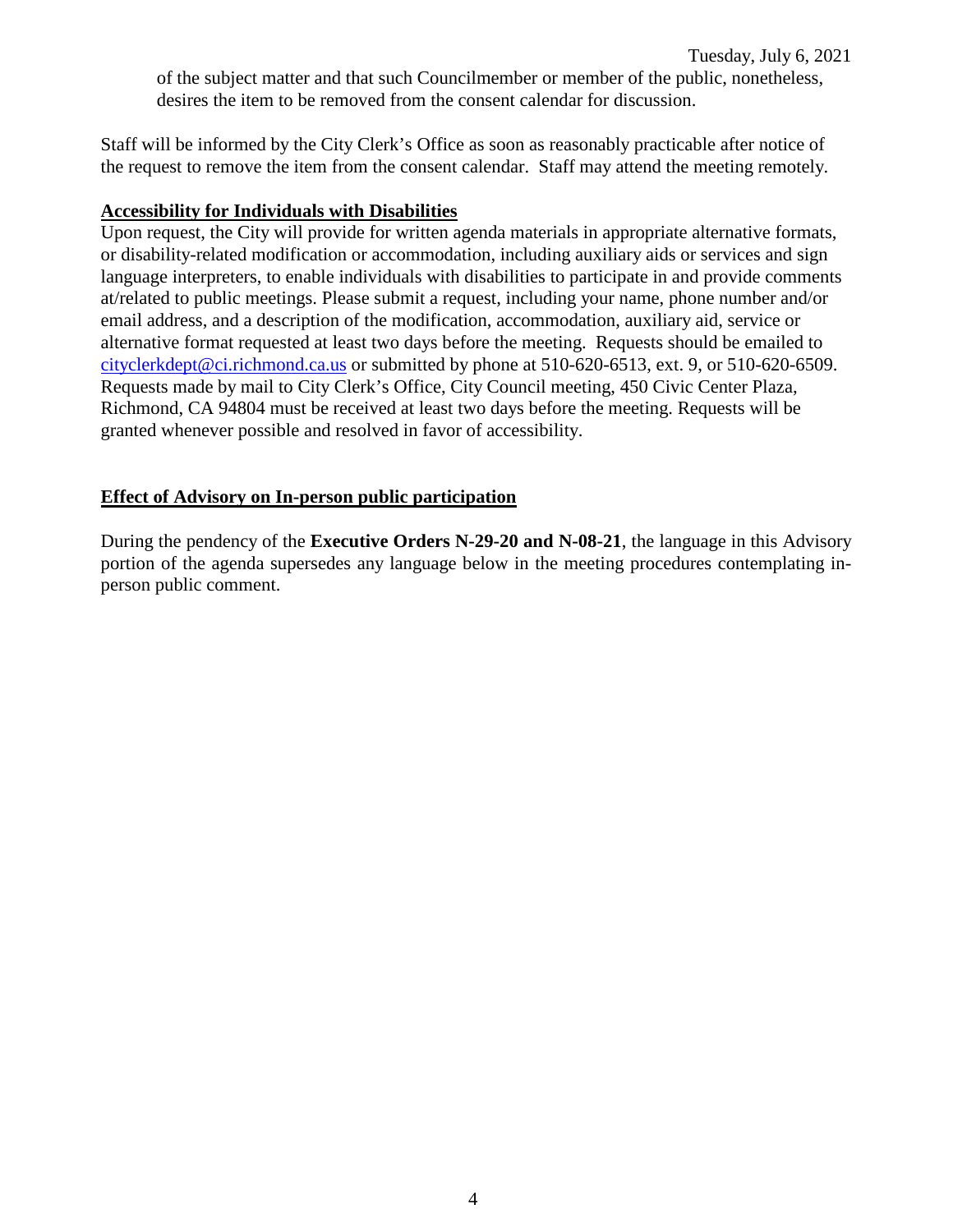Staff will be informed by the City Clerk's Office as soon as reasonably practicable after notice of the request to remove the item from the consent calendar. Staff may attend the meeting remotely.

## **Accessibility for Individuals with Disabilities**

Upon request, the City will provide for written agenda materials in appropriate alternative formats, or disability-related modification or accommodation, including auxiliary aids or services and sign language interpreters, to enable individuals with disabilities to participate in and provide comments at/related to public meetings. Please submit a request, including your name, phone number and/or email address, and a description of the modification, accommodation, auxiliary aid, service or alternative format requested at least two days before the meeting. Requests should be emailed to [cityclerkdept@ci.richmond.ca.us](mailto:cityclerkdept@ci.richmond.ca.us) or submitted by phone at 510-620-6513, ext. 9, or 510-620-6509. Requests made by mail to City Clerk's Office, City Council meeting, 450 Civic Center Plaza, Richmond, CA 94804 must be received at least two days before the meeting. Requests will be granted whenever possible and resolved in favor of accessibility.

## **Effect of Advisory on In-person public participation**

During the pendency of the **Executive Orders N-29-20 and N-08-21**, the language in this Advisory portion of the agenda supersedes any language below in the meeting procedures contemplating inperson public comment.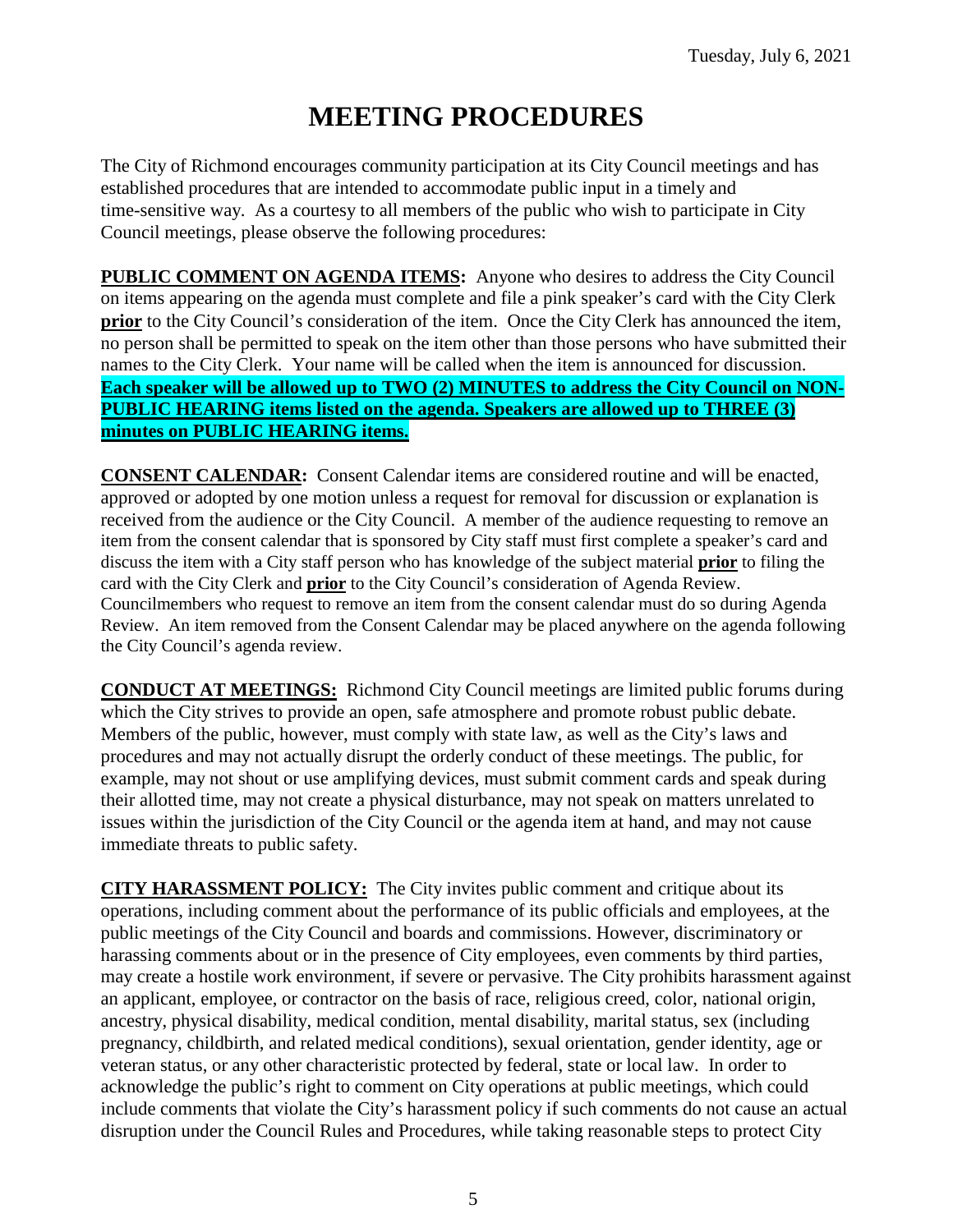# **MEETING PROCEDURES**

The City of Richmond encourages community participation at its City Council meetings and has established procedures that are intended to accommodate public input in a timely and time-sensitive way. As a courtesy to all members of the public who wish to participate in City Council meetings, please observe the following procedures:

**PUBLIC COMMENT ON AGENDA ITEMS:** Anyone who desires to address the City Council on items appearing on the agenda must complete and file a pink speaker's card with the City Clerk **prior** to the City Council's consideration of the item. Once the City Clerk has announced the item, no person shall be permitted to speak on the item other than those persons who have submitted their names to the City Clerk. Your name will be called when the item is announced for discussion. **Each speaker will be allowed up to TWO (2) MINUTES to address the City Council on NON-PUBLIC HEARING items listed on the agenda. Speakers are allowed up to THREE (3) minutes on PUBLIC HEARING items.**

**CONSENT CALENDAR:** Consent Calendar items are considered routine and will be enacted, approved or adopted by one motion unless a request for removal for discussion or explanation is received from the audience or the City Council. A member of the audience requesting to remove an item from the consent calendar that is sponsored by City staff must first complete a speaker's card and discuss the item with a City staff person who has knowledge of the subject material **prior** to filing the card with the City Clerk and **prior** to the City Council's consideration of Agenda Review. Councilmembers who request to remove an item from the consent calendar must do so during Agenda Review. An item removed from the Consent Calendar may be placed anywhere on the agenda following the City Council's agenda review.

**CONDUCT AT MEETINGS:** Richmond City Council meetings are limited public forums during which the City strives to provide an open, safe atmosphere and promote robust public debate. Members of the public, however, must comply with state law, as well as the City's laws and procedures and may not actually disrupt the orderly conduct of these meetings. The public, for example, may not shout or use amplifying devices, must submit comment cards and speak during their allotted time, may not create a physical disturbance, may not speak on matters unrelated to issues within the jurisdiction of the City Council or the agenda item at hand, and may not cause immediate threats to public safety.

**CITY HARASSMENT POLICY:** The City invites public comment and critique about its operations, including comment about the performance of its public officials and employees, at the public meetings of the City Council and boards and commissions. However, discriminatory or harassing comments about or in the presence of City employees, even comments by third parties, may create a hostile work environment, if severe or pervasive. The City prohibits harassment against an applicant, employee, or contractor on the basis of race, religious creed, color, national origin, ancestry, physical disability, medical condition, mental disability, marital status, sex (including pregnancy, childbirth, and related medical conditions), sexual orientation, gender identity, age or veteran status, or any other characteristic protected by federal, state or local law. In order to acknowledge the public's right to comment on City operations at public meetings, which could include comments that violate the City's harassment policy if such comments do not cause an actual disruption under the Council Rules and Procedures, while taking reasonable steps to protect City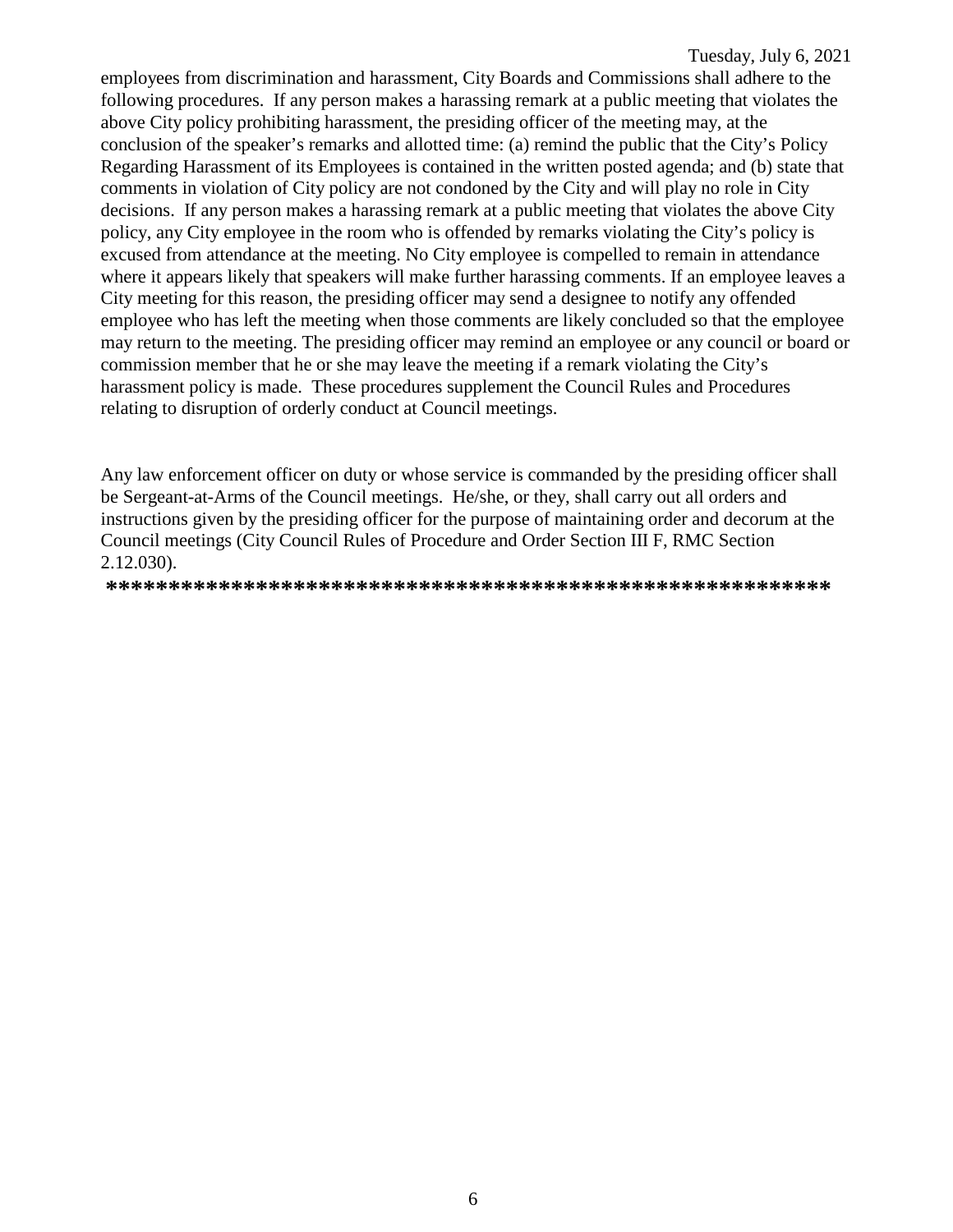employees from discrimination and harassment, City Boards and Commissions shall adhere to the following procedures. If any person makes a harassing remark at a public meeting that violates the above City policy prohibiting harassment, the presiding officer of the meeting may, at the conclusion of the speaker's remarks and allotted time: (a) remind the public that the City's Policy Regarding Harassment of its Employees is contained in the written posted agenda; and (b) state that comments in violation of City policy are not condoned by the City and will play no role in City decisions. If any person makes a harassing remark at a public meeting that violates the above City policy, any City employee in the room who is offended by remarks violating the City's policy is excused from attendance at the meeting. No City employee is compelled to remain in attendance where it appears likely that speakers will make further harassing comments. If an employee leaves a City meeting for this reason, the presiding officer may send a designee to notify any offended employee who has left the meeting when those comments are likely concluded so that the employee may return to the meeting. The presiding officer may remind an employee or any council or board or commission member that he or she may leave the meeting if a remark violating the City's harassment policy is made. These procedures supplement the Council Rules and Procedures relating to disruption of orderly conduct at Council meetings.

Any law enforcement officer on duty or whose service is commanded by the presiding officer shall be Sergeant-at-Arms of the Council meetings. He/she, or they, shall carry out all orders and instructions given by the presiding officer for the purpose of maintaining order and decorum at the Council meetings (City Council Rules of Procedure and Order Section III F, RMC Section 2.12.030).

**\*\*\*\*\*\*\*\*\*\*\*\*\*\*\*\*\*\*\*\*\*\*\*\*\*\*\*\*\*\*\*\*\*\*\*\*\*\*\*\*\*\*\*\*\*\*\*\*\*\*\*\*\*\*\*\*\*\***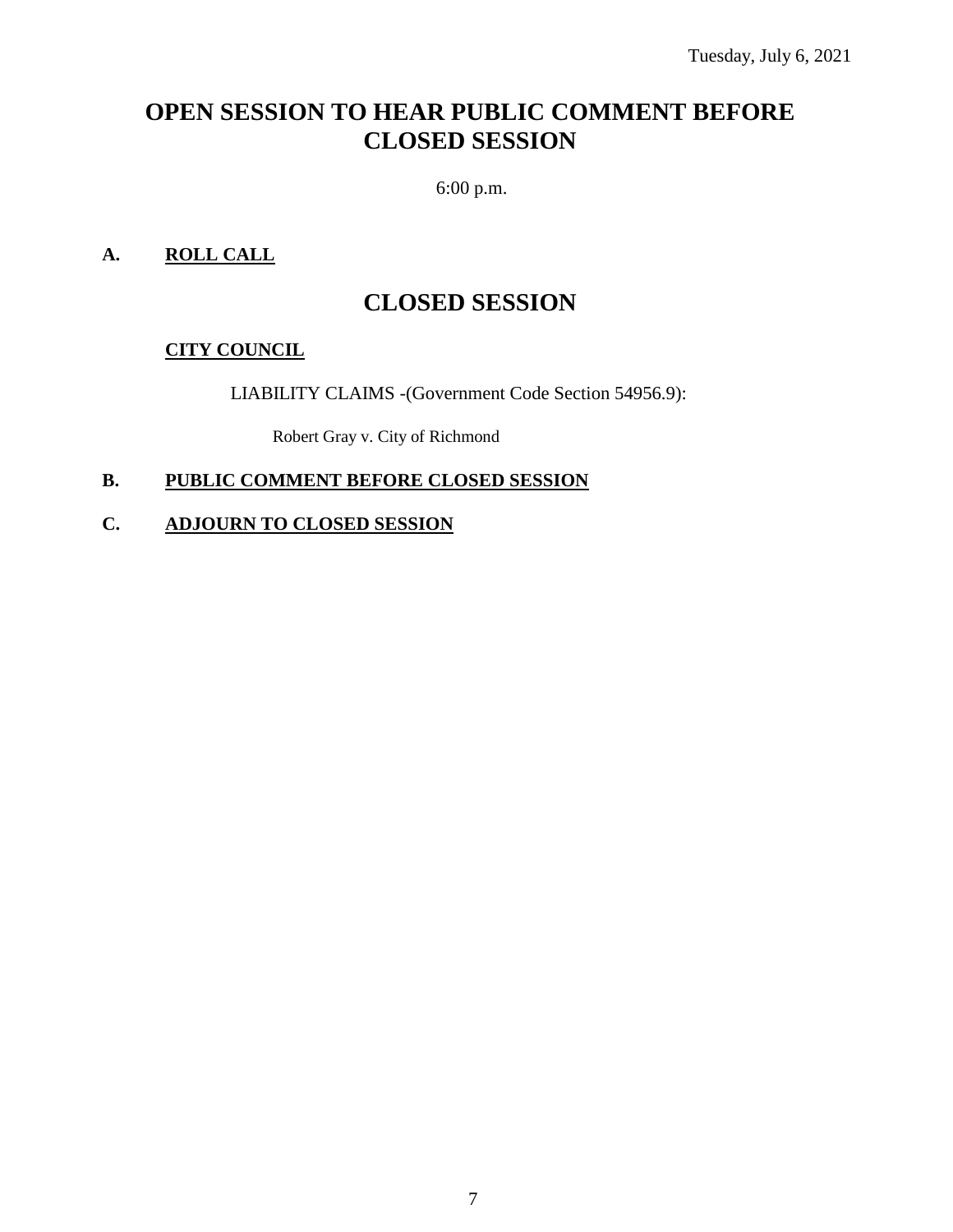## **OPEN SESSION TO HEAR PUBLIC COMMENT BEFORE CLOSED SESSION**

6:00 p.m.

## **A. ROLL CALL**

## **CLOSED SESSION**

## **CITY COUNCIL**

LIABILITY CLAIMS -(Government Code Section 54956.9):

Robert Gray v. City of Richmond

## **B. PUBLIC COMMENT BEFORE CLOSED SESSION**

## **C. ADJOURN TO CLOSED SESSION**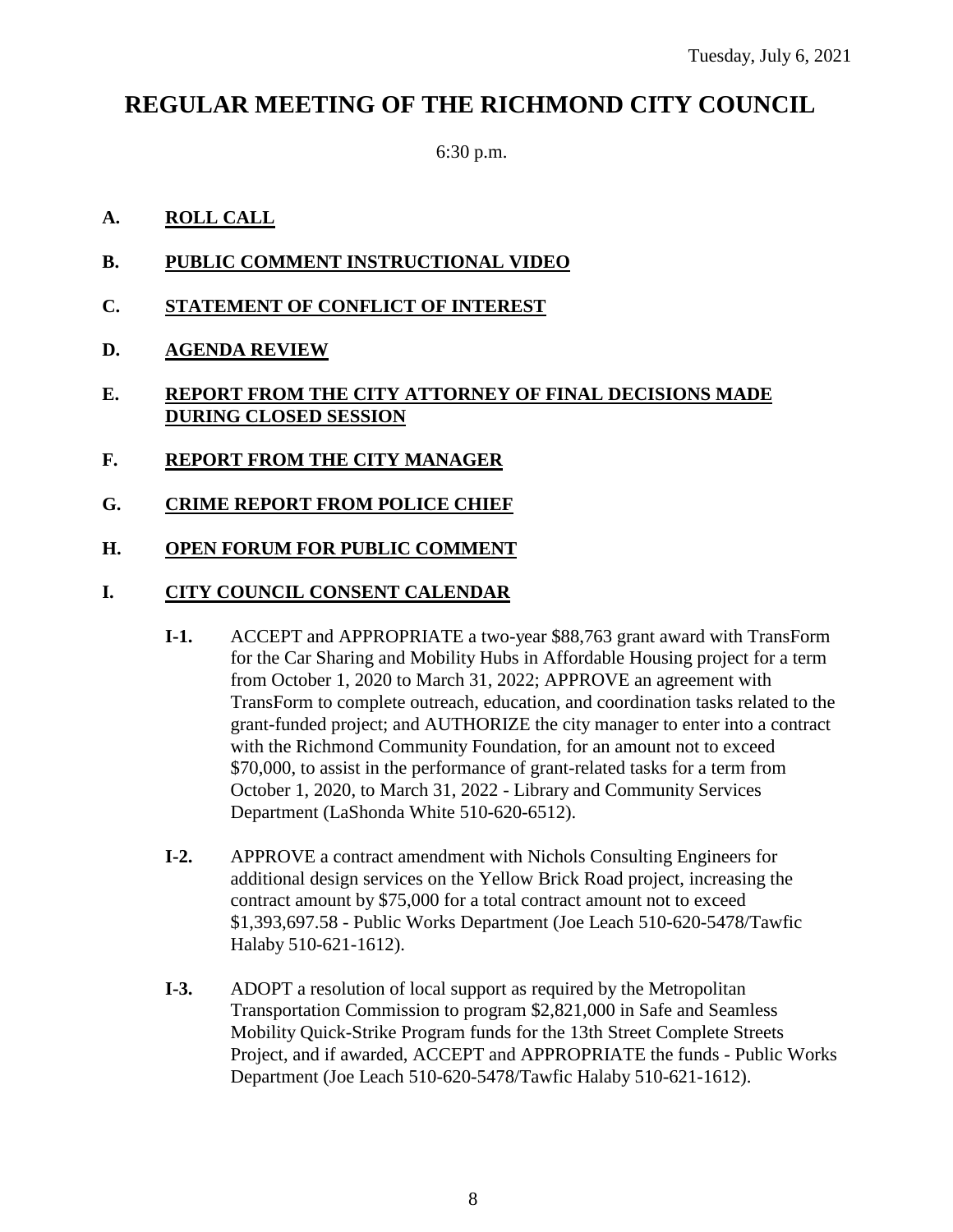## **REGULAR MEETING OF THE RICHMOND CITY COUNCIL**

6:30 p.m.

## **A. ROLL CALL**

- **B. PUBLIC COMMENT INSTRUCTIONAL VIDEO**
- **C. STATEMENT OF CONFLICT OF INTEREST**
- **D. AGENDA REVIEW**
- **E. REPORT FROM THE CITY ATTORNEY OF FINAL DECISIONS MADE DURING CLOSED SESSION**
- **F. REPORT FROM THE CITY MANAGER**
- **G. CRIME REPORT FROM POLICE CHIEF**
- **H. OPEN FORUM FOR PUBLIC COMMENT**

## **I. CITY COUNCIL CONSENT CALENDAR**

- **I-1.** ACCEPT and APPROPRIATE a two-year \$88,763 grant award with TransForm for the Car Sharing and Mobility Hubs in Affordable Housing project for a term from October 1, 2020 to March 31, 2022; APPROVE an agreement with TransForm to complete outreach, education, and coordination tasks related to the grant-funded project; and AUTHORIZE the city manager to enter into a contract with the Richmond Community Foundation, for an amount not to exceed \$70,000, to assist in the performance of grant-related tasks for a term from October 1, 2020, to March 31, 2022 - Library and Community Services Department (LaShonda White 510-620-6512).
- **I-2.** APPROVE a contract amendment with Nichols Consulting Engineers for additional design services on the Yellow Brick Road project, increasing the contract amount by \$75,000 for a total contract amount not to exceed \$1,393,697.58 - Public Works Department (Joe Leach 510-620-5478/Tawfic Halaby 510-621-1612).
- **I-3.** ADOPT a resolution of local support as required by the Metropolitan Transportation Commission to program \$2,821,000 in Safe and Seamless Mobility Quick-Strike Program funds for the 13th Street Complete Streets Project, and if awarded, ACCEPT and APPROPRIATE the funds - Public Works Department (Joe Leach 510-620-5478/Tawfic Halaby 510-621-1612).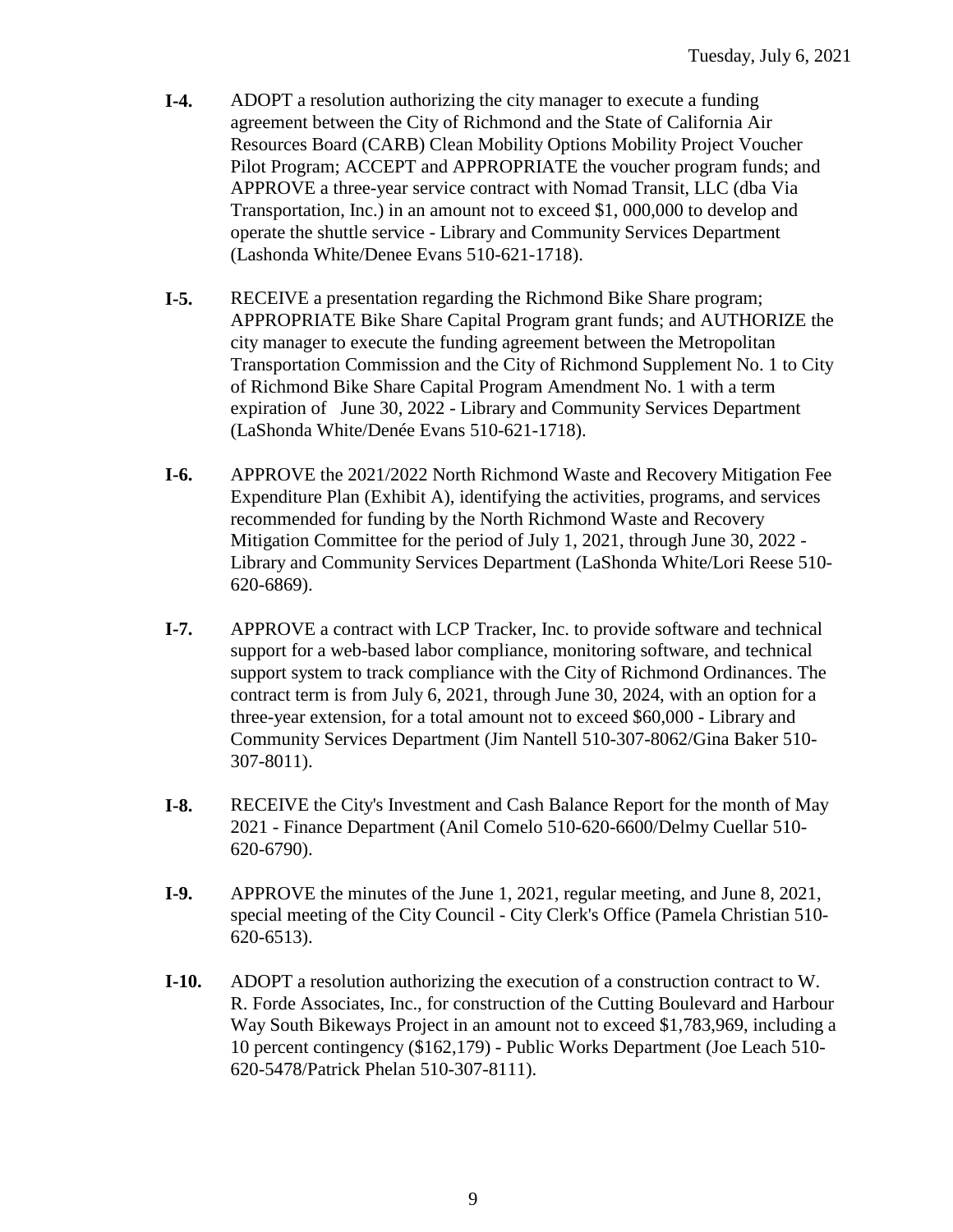- **I-4.** ADOPT a resolution authorizing the city manager to execute a funding agreement between the City of Richmond and the State of California Air Resources Board (CARB) Clean Mobility Options Mobility Project Voucher Pilot Program; ACCEPT and APPROPRIATE the voucher program funds; and APPROVE a three-year service contract with Nomad Transit, LLC (dba Via Transportation, Inc.) in an amount not to exceed \$1, 000,000 to develop and operate the shuttle service - Library and Community Services Department (Lashonda White/Denee Evans 510-621-1718).
- **I-5.** RECEIVE a presentation regarding the Richmond Bike Share program; APPROPRIATE Bike Share Capital Program grant funds; and AUTHORIZE the city manager to execute the funding agreement between the Metropolitan Transportation Commission and the City of Richmond Supplement No. 1 to City of Richmond Bike Share Capital Program Amendment No. 1 with a term expiration of June 30, 2022 - Library and Community Services Department (LaShonda White/Denée Evans 510-621-1718).
- **I-6.** APPROVE the 2021/2022 North Richmond Waste and Recovery Mitigation Fee Expenditure Plan (Exhibit A), identifying the activities, programs, and services recommended for funding by the North Richmond Waste and Recovery Mitigation Committee for the period of July 1, 2021, through June 30, 2022 - Library and Community Services Department (LaShonda White/Lori Reese 510- 620-6869).
- **I-7.** APPROVE a contract with LCP Tracker, Inc. to provide software and technical support for a web-based labor compliance, monitoring software, and technical support system to track compliance with the City of Richmond Ordinances. The contract term is from July 6, 2021, through June 30, 2024, with an option for a three-year extension, for a total amount not to exceed \$60,000 - Library and Community Services Department (Jim Nantell 510-307-8062/Gina Baker 510- 307-8011).
- **I-8.** RECEIVE the City's Investment and Cash Balance Report for the month of May 2021 - Finance Department (Anil Comelo 510-620-6600/Delmy Cuellar 510- 620-6790).
- **I-9.** APPROVE the minutes of the June 1, 2021, regular meeting, and June 8, 2021, special meeting of the City Council - City Clerk's Office (Pamela Christian 510- 620-6513).
- **I-10.** ADOPT a resolution authorizing the execution of a construction contract to W. R. Forde Associates, Inc., for construction of the Cutting Boulevard and Harbour Way South Bikeways Project in an amount not to exceed \$1,783,969, including a 10 percent contingency (\$162,179) - Public Works Department (Joe Leach 510- 620-5478/Patrick Phelan 510-307-8111).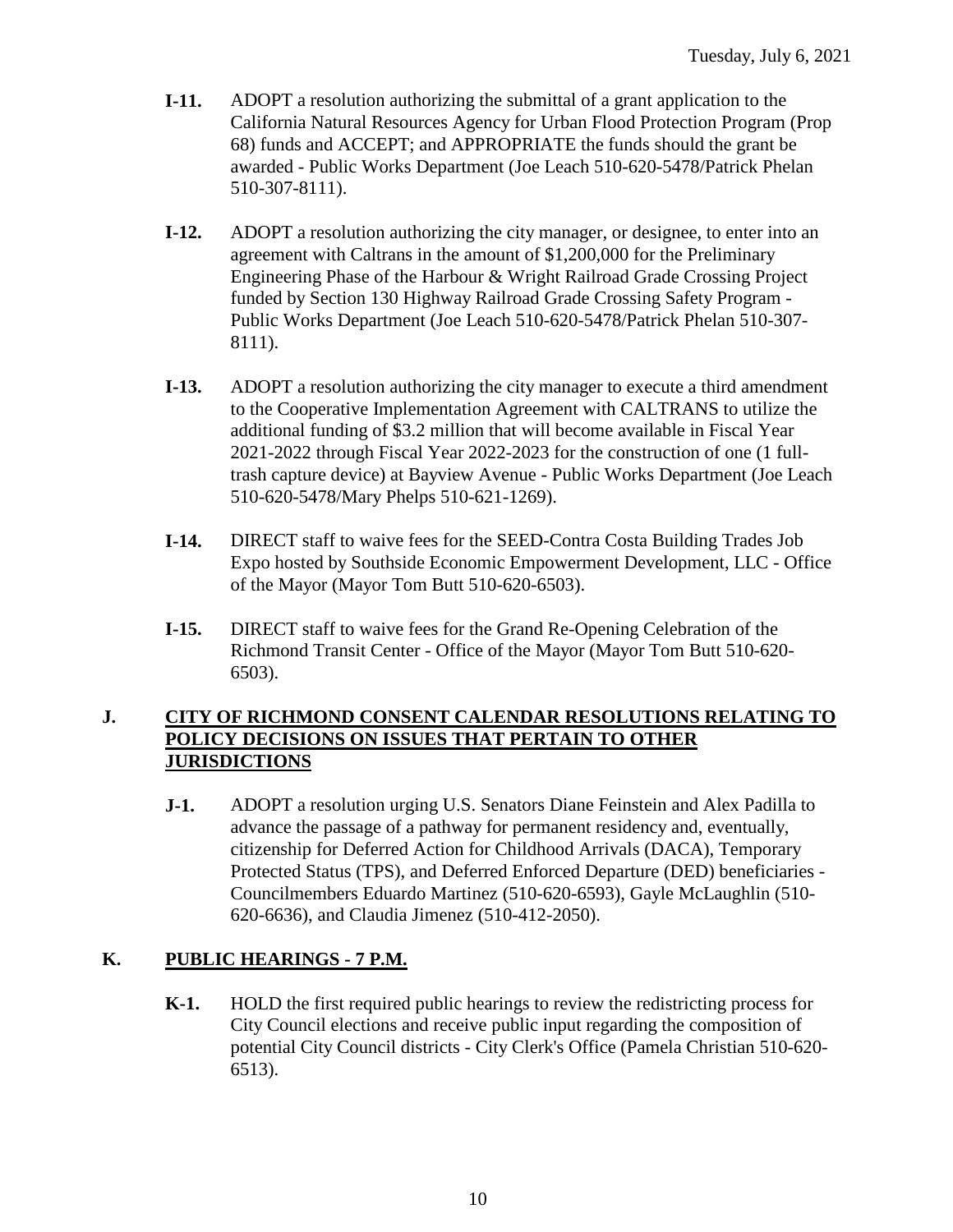- **I-11.** ADOPT a resolution authorizing the submittal of a grant application to the California Natural Resources Agency for Urban Flood Protection Program (Prop 68) funds and ACCEPT; and APPROPRIATE the funds should the grant be awarded - Public Works Department (Joe Leach 510-620-5478/Patrick Phelan 510-307-8111).
- **I-12.** ADOPT a resolution authorizing the city manager, or designee, to enter into an agreement with Caltrans in the amount of \$1,200,000 for the Preliminary Engineering Phase of the Harbour & Wright Railroad Grade Crossing Project funded by Section 130 Highway Railroad Grade Crossing Safety Program - Public Works Department (Joe Leach 510-620-5478/Patrick Phelan 510-307- 8111).
- **I-13.** ADOPT a resolution authorizing the city manager to execute a third amendment to the Cooperative Implementation Agreement with CALTRANS to utilize the additional funding of \$3.2 million that will become available in Fiscal Year 2021-2022 through Fiscal Year 2022-2023 for the construction of one (1 fulltrash capture device) at Bayview Avenue - Public Works Department (Joe Leach 510-620-5478/Mary Phelps 510-621-1269).
- **I-14.** DIRECT staff to waive fees for the SEED-Contra Costa Building Trades Job Expo hosted by Southside Economic Empowerment Development, LLC - Office of the Mayor (Mayor Tom Butt 510-620-6503).
- **I-15.** DIRECT staff to waive fees for the Grand Re-Opening Celebration of the Richmond Transit Center - Office of the Mayor (Mayor Tom Butt 510-620- 6503).

## **J. CITY OF RICHMOND CONSENT CALENDAR RESOLUTIONS RELATING TO POLICY DECISIONS ON ISSUES THAT PERTAIN TO OTHER JURISDICTIONS**

**J-1.** ADOPT a resolution urging U.S. Senators Diane Feinstein and Alex Padilla to advance the passage of a pathway for permanent residency and, eventually, citizenship for Deferred Action for Childhood Arrivals (DACA), Temporary Protected Status (TPS), and Deferred Enforced Departure (DED) beneficiaries - Councilmembers Eduardo Martinez (510-620-6593), Gayle McLaughlin (510- 620-6636), and Claudia Jimenez (510-412-2050).

## **K. PUBLIC HEARINGS - 7 P.M.**

**K-1.** HOLD the first required public hearings to review the redistricting process for City Council elections and receive public input regarding the composition of potential City Council districts - City Clerk's Office (Pamela Christian 510-620- 6513).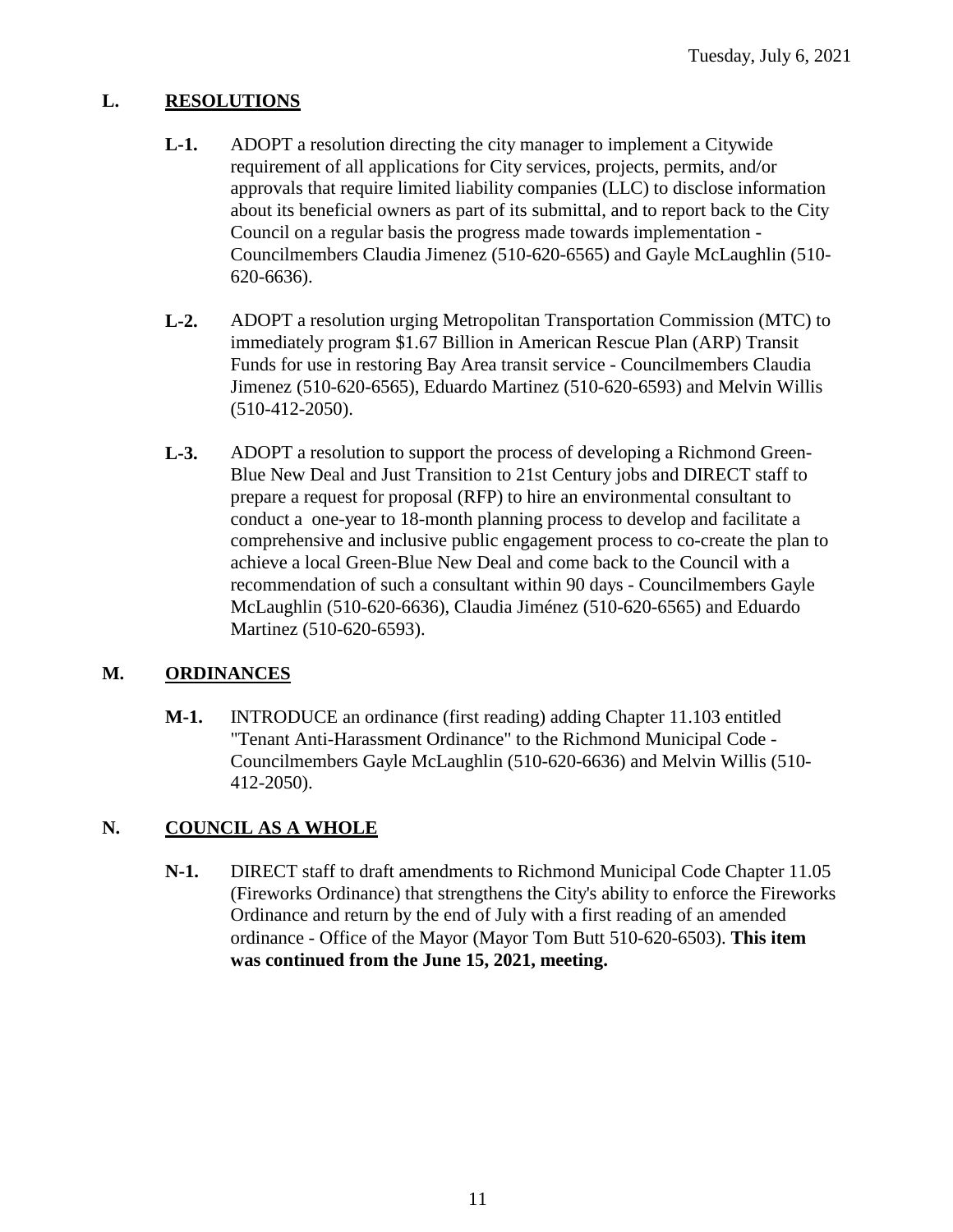## **L. RESOLUTIONS**

- **L-1.** ADOPT a resolution directing the city manager to implement a Citywide requirement of all applications for City services, projects, permits, and/or approvals that require limited liability companies (LLC) to disclose information about its beneficial owners as part of its submittal, and to report back to the City Council on a regular basis the progress made towards implementation - Councilmembers Claudia Jimenez (510-620-6565) and Gayle McLaughlin (510- 620-6636).
- **L-2.** ADOPT a resolution urging Metropolitan Transportation Commission (MTC) to immediately program \$1.67 Billion in American Rescue Plan (ARP) Transit Funds for use in restoring Bay Area transit service - Councilmembers Claudia Jimenez (510-620-6565), Eduardo Martinez (510-620-6593) and Melvin Willis (510-412-2050).
- **L-3.** ADOPT a resolution to support the process of developing a Richmond Green-Blue New Deal and Just Transition to 21st Century jobs and DIRECT staff to prepare a request for proposal (RFP) to hire an environmental consultant to conduct a one-year to 18-month planning process to develop and facilitate a comprehensive and inclusive public engagement process to co-create the plan to achieve a local Green-Blue New Deal and come back to the Council with a recommendation of such a consultant within 90 days - Councilmembers Gayle McLaughlin (510-620-6636), Claudia Jiménez (510-620-6565) and Eduardo Martinez (510-620-6593).

## **M. ORDINANCES**

**M-1.** INTRODUCE an ordinance (first reading) adding Chapter 11.103 entitled "Tenant Anti-Harassment Ordinance" to the Richmond Municipal Code - Councilmembers Gayle McLaughlin (510-620-6636) and Melvin Willis (510- 412-2050).

## **N. COUNCIL AS A WHOLE**

**N-1.** DIRECT staff to draft amendments to Richmond Municipal Code Chapter 11.05 (Fireworks Ordinance) that strengthens the City's ability to enforce the Fireworks Ordinance and return by the end of July with a first reading of an amended ordinance - Office of the Mayor (Mayor Tom Butt 510-620-6503). **This item was continued from the June 15, 2021, meeting.**